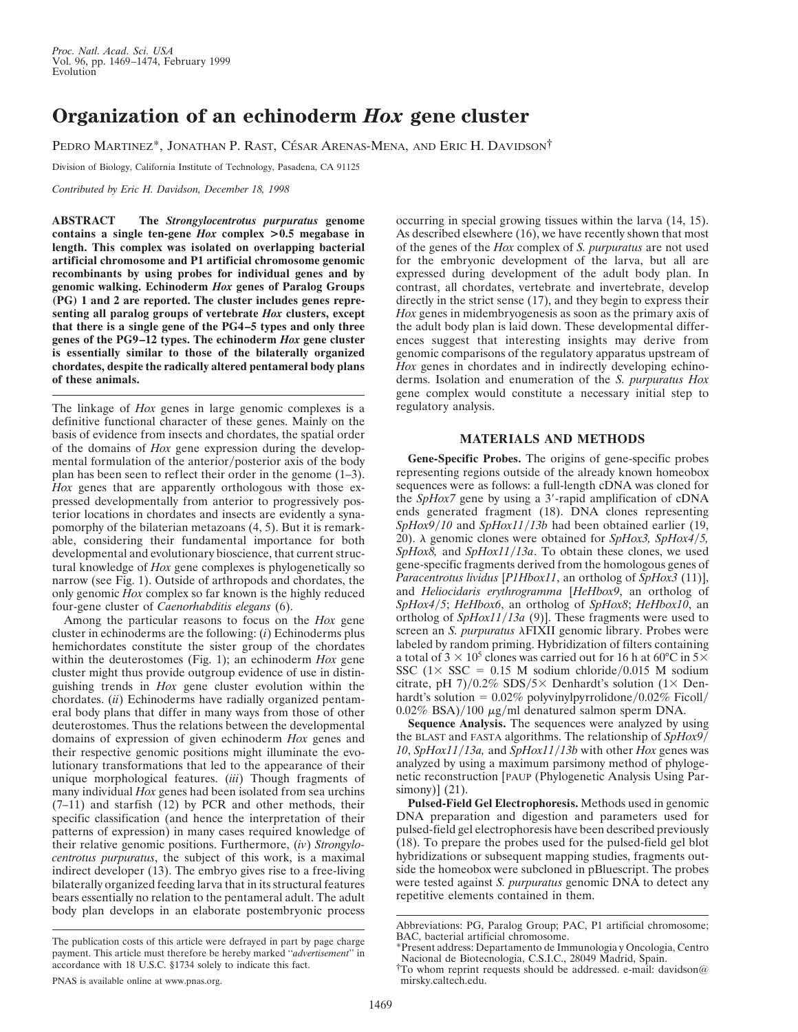## **Organization of an echinoderm** *Hox* **gene cluster**

PEDRO MARTINEZ<sup>\*</sup>, JONATHAN P. RAST, CÉSAR ARENAS-MENA, AND ERIC H. DAVIDSON<sup>†</sup>

Division of Biology, California Institute of Technology, Pasadena, CA 91125

*Contributed by Eric H. Davidson, December 18, 1998*

**ABSTRACT The** *Strongylocentrotus purpuratus* **genome contains a single ten-gene** *Hox* **complex >0.5 megabase in length. This complex was isolated on overlapping bacterial artificial chromosome and P1 artificial chromosome genomic recombinants by using probes for individual genes and by genomic walking. Echinoderm** *Hox* **genes of Paralog Groups (PG) 1 and 2 are reported. The cluster includes genes representing all paralog groups of vertebrate** *Hox* **clusters, except that there is a single gene of the PG4–5 types and only three genes of the PG9–12 types. The echinoderm** *Hox* **gene cluster is essentially similar to those of the bilaterally organized chordates, despite the radically altered pentameral body plans of these animals.**

The linkage of *Hox* genes in large genomic complexes is a definitive functional character of these genes. Mainly on the basis of evidence from insects and chordates, the spatial order of the domains of *Hox* gene expression during the developmental formulation of the anterior/posterior axis of the body plan has been seen to reflect their order in the genome (1–3). *Hox* genes that are apparently orthologous with those expressed developmentally from anterior to progressively posterior locations in chordates and insects are evidently a synapomorphy of the bilaterian metazoans (4, 5). But it is remarkable, considering their fundamental importance for both developmental and evolutionary bioscience, that current structural knowledge of *Hox* gene complexes is phylogenetically so narrow (see Fig. 1). Outside of arthropods and chordates, the only genomic *Hox* complex so far known is the highly reduced four-gene cluster of *Caenorhabditis elegans* (6).

Among the particular reasons to focus on the *Hox* gene cluster in echinoderms are the following: (*i*) Echinoderms plus hemichordates constitute the sister group of the chordates within the deuterostomes (Fig. 1); an echinoderm *Hox* gene cluster might thus provide outgroup evidence of use in distinguishing trends in *Hox* gene cluster evolution within the chordates. (*ii*) Echinoderms have radially organized pentameral body plans that differ in many ways from those of other deuterostomes. Thus the relations between the developmental domains of expression of given echinoderm *Hox* genes and their respective genomic positions might illuminate the evolutionary transformations that led to the appearance of their unique morphological features. (*iii*) Though fragments of many individual *Hox* genes had been isolated from sea urchins (7–11) and starfish (12) by PCR and other methods, their specific classification (and hence the interpretation of their patterns of expression) in many cases required knowledge of their relative genomic positions. Furthermore, (*iv*) *Strongylocentrotus purpuratus*, the subject of this work, is a maximal indirect developer (13). The embryo gives rise to a free-living bilaterally organized feeding larva that in its structural features bears essentially no relation to the pentameral adult. The adult body plan develops in an elaborate postembryonic process

PNAS is available online at www.pnas.org.

occurring in special growing tissues within the larva (14, 15). As described elsewhere (16), we have recently shown that most of the genes of the *Hox* complex of *S. purpuratus* are not used for the embryonic development of the larva, but all are expressed during development of the adult body plan. In contrast, all chordates, vertebrate and invertebrate, develop directly in the strict sense (17), and they begin to express their *Hox* genes in midembryogenesis as soon as the primary axis of the adult body plan is laid down. These developmental differences suggest that interesting insights may derive from genomic comparisons of the regulatory apparatus upstream of *Hox* genes in chordates and in indirectly developing echinoderms. Isolation and enumeration of the *S. purpuratus Hox* gene complex would constitute a necessary initial step to regulatory analysis.

## **MATERIALS AND METHODS**

**Gene-Specific Probes.** The origins of gene-specific probes representing regions outside of the already known homeobox sequences were as follows: a full-length cDNA was cloned for the  $SpHox7$  gene by using a 3'-rapid amplification of cDNA ends generated fragment (18). DNA clones representing *SpHox9/10* and *SpHox11/13b* had been obtained earlier (19, 20).  $\lambda$  genomic clones were obtained for *SpHox3*, *SpHox4*/5, *SpHox8*, and *SpHox11/13a*. To obtain these clones, we used gene-specific fragments derived from the homologous genes of *Paracentrotus lividus* [*P1Hbox11*, an ortholog of *SpHox3* (11)], and *Heliocidaris erythrogramma* [*HeHbox9*, an ortholog of *SpHox4/5*; *HeHbox6*, an ortholog of *SpHox8*; *HeHbox10*, an ortholog of *SpHox11/13a* (9)]. These fragments were used to screen an *S. purpuratus*  $\lambda$ FIXII genomic library. Probes were labeled by random priming. Hybridization of filters containing a total of  $3 \times 10^5$  clones was carried out for 16 h at 60°C in  $5 \times$ SSC  $(1 \times SSC = 0.15$  M sodium chloride/0.015 M sodium citrate, pH 7)/0.2% SDS/5× Denhardt's solution (1× Denhardt's solution =  $0.02\%$  polyvinylpyrrolidone/0.02% Ficoll/  $0.02\%$  BSA)/100  $\mu$ g/ml denatured salmon sperm DNA.

**Sequence Analysis.** The sequences were analyzed by using the BLAST and FASTA algorithms. The relationship of *SpHox9*/ 10, *SpHox11/13a*, and *SpHox11/13b* with other *Hox* genes was analyzed by using a maximum parsimony method of phylogenetic reconstruction [PAUP (Phylogenetic Analysis Using Parsimony)] (21).

**Pulsed-Field Gel Electrophoresis.** Methods used in genomic DNA preparation and digestion and parameters used for pulsed-field gel electrophoresis have been described previously (18). To prepare the probes used for the pulsed-field gel blot hybridizations or subsequent mapping studies, fragments outside the homeobox were subcloned in pBluescript. The probes were tested against *S. purpuratus* genomic DNA to detect any repetitive elements contained in them.

The publication costs of this article were defrayed in part by page charge payment. This article must therefore be hereby marked ''*advertisement*'' in accordance with 18 U.S.C. §1734 solely to indicate this fact.

Abbreviations: PG, Paralog Group; PAC, P1 artificial chromosome; BAC, bacterial artificial chromosome.

<sup>\*</sup>Present address: Departamento de Immunologia y Oncologia, Centro Nacional de Biotecnologia, C.S.I.C., 28049 Madrid, Spain.

<sup>†</sup>To whom reprint requests should be addressed. e-mail: davidson@ mirsky.caltech.edu.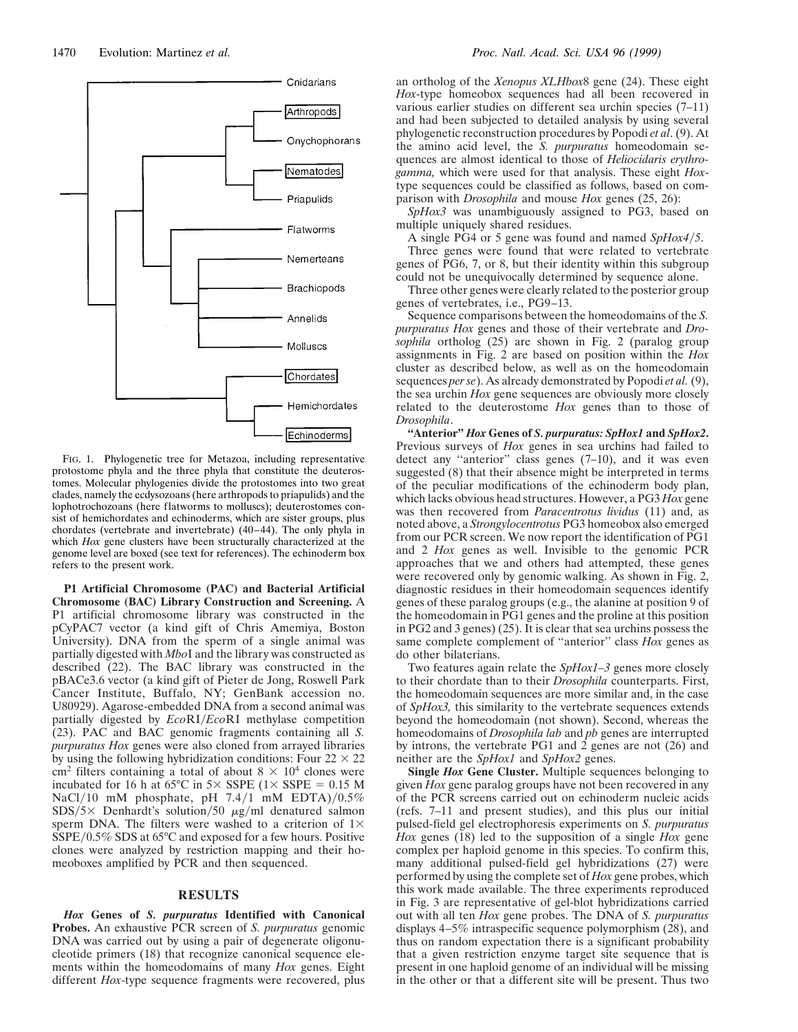

FIG. 1. Phylogenetic tree for Metazoa, including representative protostome phyla and the three phyla that constitute the deuterostomes. Molecular phylogenies divide the protostomes into two great clades, namely the ecdysozoans (here arthropods to priapulids) and the lophotrochozoans (here flatworms to molluscs); deuterostomes consist of hemichordates and echinoderms, which are sister groups, plus chordates (vertebrate and invertebrate) (40–44). The only phyla in which *Hox* gene clusters have been structurally characterized at the genome level are boxed (see text for references). The echinoderm box refers to the present work.

**P1 Artificial Chromosome (PAC) and Bacterial Artificial Chromosome (BAC) Library Construction and Screening.** A P1 artificial chromosome library was constructed in the pCyPAC7 vector (a kind gift of Chris Amemiya, Boston University). DNA from the sperm of a single animal was partially digested with *Mbo*I and the library was constructed as described (22). The BAC library was constructed in the pBACe3.6 vector (a kind gift of Pieter de Jong, Roswell Park Cancer Institute, Buffalo, NY; GenBank accession no. U80929). Agarose-embedded DNA from a second animal was partially digested by *EcoRI*/*EcoRI* methylase competition (23). PAC and BAC genomic fragments containing all *S. purpuratus Hox* genes were also cloned from arrayed libraries by using the following hybridization conditions: Four  $22 \times 22$ cm<sup>2</sup> filters containing a total of about  $8 \times 10^4$  clones were incubated for 16 h at 65°C in 5× SSPE (1× SSPE = 0.15 M NaCl/10 mM phosphate, pH  $7.4/1$  mM EDTA)/0.5%  $SDS/5\times$  Denhardt's solution/50  $\mu$ g/ml denatured salmon sperm DNA. The filters were washed to a criterion of  $1\times$  $\overline{\text{S}sPE}/0.5\%$  SDS at  $65^{\circ}$ C and exposed for a few hours. Positive clones were analyzed by restriction mapping and their homeoboxes amplified by PCR and then sequenced.

## **RESULTS**

*Hox* **Genes of** *S. purpuratus* **Identified with Canonical Probes.** An exhaustive PCR screen of *S. purpuratus* genomic DNA was carried out by using a pair of degenerate oligonucleotide primers (18) that recognize canonical sequence elements within the homeodomains of many *Hox* genes. Eight different *Hox*-type sequence fragments were recovered, plus

an ortholog of the *Xenopus XLHbox*8 gene (24). These eight *Hox*-type homeobox sequences had all been recovered in various earlier studies on different sea urchin species (7–11) and had been subjected to detailed analysis by using several phylogenetic reconstruction procedures by Popodi *et al*. (9). At the amino acid level, the *S. purpuratus* homeodomain sequences are almost identical to those of *Heliocidaris erythrogamma,* which were used for that analysis. These eight *Hox*type sequences could be classified as follows, based on comparison with *Drosophila* and mouse *Hox* genes (25, 26):

*SpHox3* was unambiguously assigned to PG3, based on multiple uniquely shared residues.

A single PG4 or 5 gene was found and named *SpHox4/5*.

Three genes were found that were related to vertebrate genes of PG6, 7, or 8, but their identity within this subgroup could not be unequivocally determined by sequence alone.

Three other genes were clearly related to the posterior group genes of vertebrates, i.e., PG9–13.

Sequence comparisons between the homeodomains of the *S. purpuratus Hox* genes and those of their vertebrate and *Drosophila* ortholog (25) are shown in Fig. 2 (paralog group assignments in Fig. 2 are based on position within the *Hox* cluster as described below, as well as on the homeodomain sequences *per se*). As already demonstrated by Popodi *et al.* (9), the sea urchin *Hox* gene sequences are obviously more closely related to the deuterostome *Hox* genes than to those of *Drosophila*.

**''Anterior''** *Hox* **Genes of** *S. purpuratus: SpHox1* **and** *SpHox2***.** Previous surveys of *Hox* genes in sea urchins had failed to detect any ''anterior'' class genes (7–10), and it was even suggested  $(8)$  that their absence might be interpreted in terms of the peculiar modifications of the echinoderm body plan, which lacks obvious head structures. However, a PG3 *Hox* gene was then recovered from *Paracentrotus lividus* (11) and, as noted above, a *Strongylocentrotus* PG3 homeobox also emerged from our PCR screen. We now report the identification of PG1 and 2 *Hox* genes as well. Invisible to the genomic PCR approaches that we and others had attempted, these genes were recovered only by genomic walking. As shown in Fig. 2, diagnostic residues in their homeodomain sequences identify genes of these paralog groups (e.g., the alanine at position 9 of the homeodomain in PG1 genes and the proline at this position in PG2 and 3 genes) (25). It is clear that sea urchins possess the same complete complement of ''anterior'' class *Hox* genes as do other bilaterians.

Two features again relate the *SpHox1–3* genes more closely to their chordate than to their *Drosophila* counterparts. First, the homeodomain sequences are more similar and, in the case of *SpHox3,* this similarity to the vertebrate sequences extends beyond the homeodomain (not shown). Second, whereas the homeodomains of *Drosophila lab* and *pb* genes are interrupted by introns, the vertebrate PG1 and 2 genes are not (26) and neither are the *SpHox1* and *SpHox2* genes.

**Single** *Hox* **Gene Cluster.** Multiple sequences belonging to given *Hox* gene paralog groups have not been recovered in any of the PCR screens carried out on echinoderm nucleic acids (refs. 7–11 and present studies), and this plus our initial pulsed-field gel electrophoresis experiments on *S. purpuratus Hox* genes (18) led to the supposition of a single *Hox* gene complex per haploid genome in this species. To confirm this, many additional pulsed-field gel hybridizations (27) were performed by using the complete set of *Hox* gene probes, which this work made available. The three experiments reproduced in Fig. 3 are representative of gel-blot hybridizations carried out with all ten *Hox* gene probes. The DNA of *S. purpuratus* displays 4–5% intraspecific sequence polymorphism (28), and thus on random expectation there is a significant probability that a given restriction enzyme target site sequence that is present in one haploid genome of an individual will be missing in the other or that a different site will be present. Thus two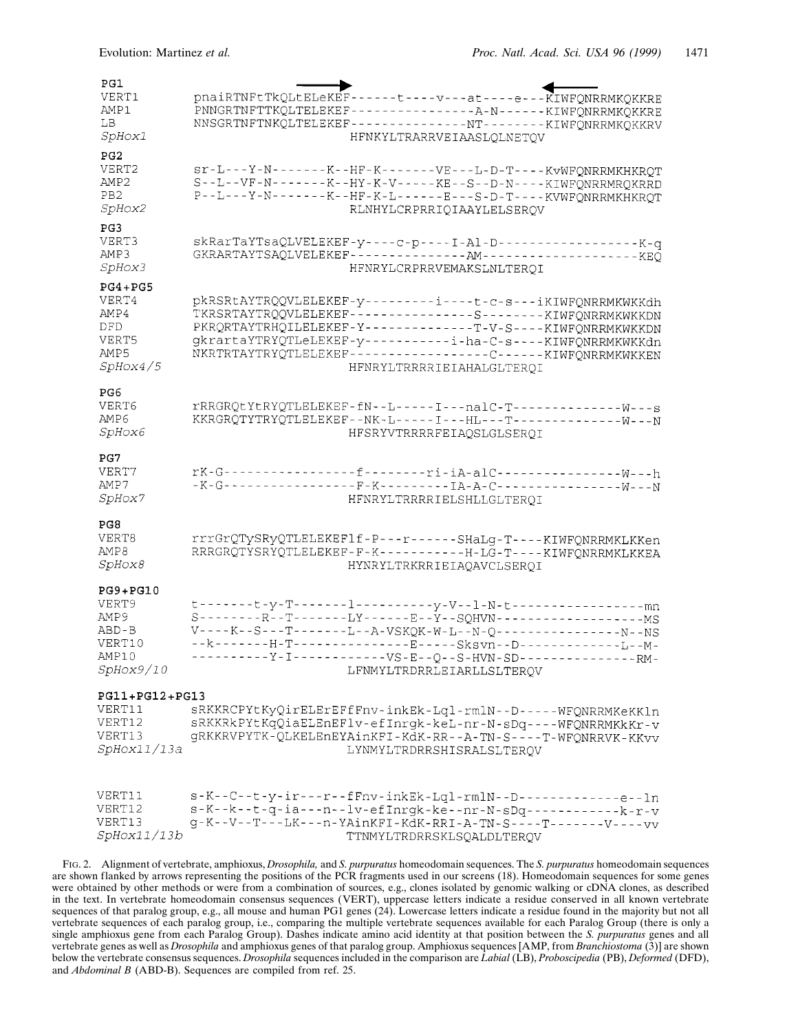| PG1<br>VERT1<br>AMP1<br>LВ<br><i>SpHox1</i>                             | pnaiRTNFtTkQLtELeKEF------t----v---at----e---KIWFQNRRMKQKKRE<br>PNNGRTNFTTKQLTELEKEF-----------------A-N------KIWFQNRRMKQKKRE<br>NNSGRTNFTNKQLTELEKEF---------------NT-------KIWFQNRRMKQKKRV<br>HFNKYLTRARRVEIAASLOLNETOV                                                                                                                              |
|-------------------------------------------------------------------------|--------------------------------------------------------------------------------------------------------------------------------------------------------------------------------------------------------------------------------------------------------------------------------------------------------------------------------------------------------|
| PG2<br>VERT2<br>AMP2<br>PB <sub>2</sub><br><i>SpHox2</i>                | Sr-L---Y-N-------K--HF-K-------VE----L-D-T----KvWFQNRRMKHKRQT<br>S--L--VF-N-------K--HY-K-V-----KE--S--D-N----KIWFQNRRMRQKRRD<br>P--L---Y-N-------K--HF-K-L------E---S-D-T-----KVWFQNRRMKHKRQT<br>RLNHYLCRPRRIQIAAYLELSERQV                                                                                                                            |
| PG3<br>VERT3<br>AMP3<br><i>SpHox3</i>                                   | skRarTaYTsaQLVELEKEF-y----c-p----I-Al-D------------------K-q<br>GKRARTAYTSAQLVELEKEF--------------AM---------------------KEQ<br>HFNRYLCRPRRVEMAKSLNLTERQI                                                                                                                                                                                              |
| $PG4+PG5$<br>VERT4<br>AMP4<br>DFD<br>VERT5<br>AMP5<br><i>SpHox4/5</i>   | pkRSRtAYTRQQVLELEKEF-y---------i----t-c-s---iKIWFQNRRMKWKKdh<br>TKRSRTAYTRQQVLELEKEF----------------S-------KIWFQNRRMKWKKDN<br>PKRQRTAYTRHQILELEKEF-Y-------------T-V-S----KIWFQNRRMKWKKDN<br>gkrartaYTRYQTLeLEKEF-y-----------i-ha-C-s----KIWFQNRRMKWKKdn<br>NKRTRTAYTRYQTLELEKEF-----------------C------KIWFQNRRMKWKKEN<br>HFNRYLTRRRRIEIAHALGLTEROI |
| PG6<br>VERT6<br>AMP6<br><i>SpHox6</i>                                   | rRRGRQtYtRYQTLELEKEF-fN--L-----I---nalC-T---------------W---S<br>KKRGRQTYTRYQTLELEKEF--NK-L-----I---HL---T---------------W---N<br>HFSRYVTRRRRFEIAQSLGLSERQI                                                                                                                                                                                            |
| PG7<br>VERT7<br>AMP7<br><i>SpHox7</i>                                   | HFNRYLTRRRRIELSHLLGLTEROI                                                                                                                                                                                                                                                                                                                              |
| PG8<br>VERT8<br>AMP8<br><i>SpHox8</i>                                   | rrrGrQTySRyQTLELEKEF1f-P---r-----SHaLg-T----KIWFQNRRMKLKKen<br>RRRGRQTYSRYQTLELEKEF-F-K-----------H-LG-T----KIWFQNRRMKLKKEA<br>HYNRYLTRKRRIEIAQAVCLSEROI                                                                                                                                                                                               |
| $PG9 + PG10$<br>VERT9<br>AMP 9<br>ABD-B<br>VERT10<br>AMP10<br>SpHox9/10 | t-------t-y-T-------1---------y-V--1-N-t--------------------mn<br>----------Y-I------------VS-E--Q--S-HVN-SD--------------RM-<br>LFNMYLTRDRRLEIARLLSLTERQV                                                                                                                                                                                             |
| PG11+PG12+PG13<br>VERT11<br>VERT12<br>VERT13<br>SpHox11/13a             | sRKKRCPYtKyQirELErEFfFnv-inkEk-Lql-rmlN--D-----WFQNRRMKeKKln<br>sRKKRkPYtKqQiaELEnEFlv-efInrgk-keL-nr-N-sDq----WFQNRRMKkKr-v<br>gRKKRVPYTK-QLKELEnEYAinKFI-KdK-RR--A-TN-S----T-WFQNRRVK-KKvv<br>LYNMYLTRDRRSHISRALSLTERQV                                                                                                                              |
| VERT11<br>VERT12<br>VERT13<br>SpHox11/13b                               | $s - K - -C - -t - y - ir - -r - fFnv - inkEk - Lq1-rm1N - -D - - - - - - - - - - e - 1n$<br>s-K--k--t-q-ia---n--lv-efInrgk-ke--nr-N-sDq------------k-r-v<br>g-K--V--T---LK---n-YAinKFI-KdK-RRI-A-TN-S----T-------V-----vv<br>TTNMYLTRDRRSKLSQALDLTERQV                                                                                                |

FIG. 2. Alignment of vertebrate, amphioxus, *Drosophila,* and *S. purpuratus* homeodomain sequences. The *S. purpuratus* homeodomain sequences are shown flanked by arrows representing the positions of the PCR fragments used in our screens (18). Homeodomain sequences for some genes were obtained by other methods or were from a combination of sources, e.g., clones isolated by genomic walking or cDNA clones, as described in the text. In vertebrate homeodomain consensus sequences (VERT), uppercase letters indicate a residue conserved in all known vertebrate sequences of that paralog group, e.g., all mouse and human PG1 genes (24). Lowercase letters indicate a residue found in the majority but not all vertebrate sequences of each paralog group, i.e., comparing the multiple vertebrate sequences available for each Paralog Group (there is only a single amphioxus gene from each Paralog Group). Dashes indicate amino acid identity at that position between the *S. purpuratus* genes and all vertebrate genes as well as *Drosophila* and amphioxus genes of that paralog group. Amphioxus sequences [AMP, from *Branchiostoma* (3)] are shown below the vertebrate consensus sequences. *Drosophila* sequences included in the comparison are *Labial* (LB), *Proboscipedia* (PB), *Deformed* (DFD), and *Abdominal B* (ABD-B). Sequences are compiled from ref. 25.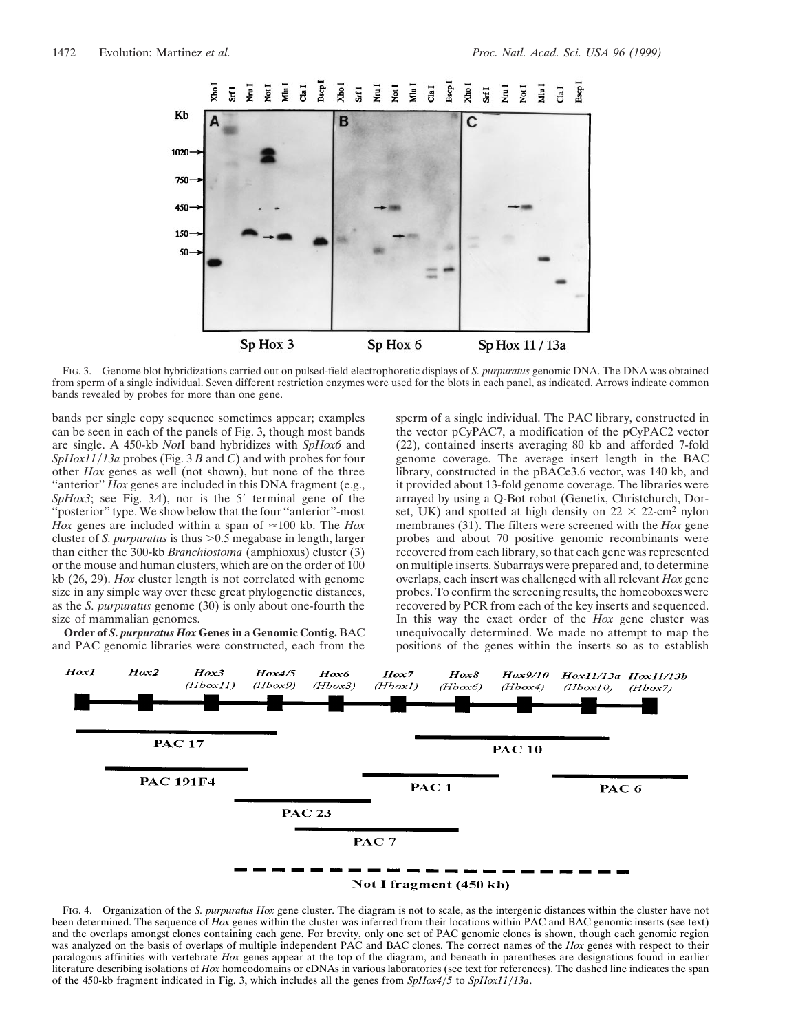

FIG. 3. Genome blot hybridizations carried out on pulsed-field electrophoretic displays of *S. purpuratus* genomic DNA. The DNA was obtained from sperm of a single individual. Seven different restriction enzymes were used for the blots in each panel, as indicated. Arrows indicate common bands revealed by probes for more than one gene.

bands per single copy sequence sometimes appear; examples can be seen in each of the panels of Fig. 3, though most bands are single. A 450-kb *Not*I band hybridizes with *SpHox6* and *SpHox11/13a* probes (Fig. 3 *B* and *C*) and with probes for four other *Hox* genes as well (not shown), but none of the three "anterior" *Hox* genes are included in this DNA fragment (e.g., *SpHox3*; see Fig. 3*A*), nor is the 5' terminal gene of the ''posterior'' type. We show below that the four ''anterior''-most *Hox* genes are included within a span of  $\approx 100$  kb. The *Hox* cluster of *S. purpuratus* is thus  $> 0.5$  megabase in length, larger than either the 300-kb *Branchiostoma* (amphioxus) cluster (3) or the mouse and human clusters, which are on the order of 100 kb (26, 29). *Hox* cluster length is not correlated with genome size in any simple way over these great phylogenetic distances, as the *S. purpuratus* genome (30) is only about one-fourth the size of mammalian genomes.

**Order of** *S. purpuratus Hox* **Genes in a Genomic Contig.** BAC and PAC genomic libraries were constructed, each from the sperm of a single individual. The PAC library, constructed in the vector pCyPAC7, a modification of the pCyPAC2 vector (22), contained inserts averaging 80 kb and afforded 7-fold genome coverage. The average insert length in the BAC library, constructed in the pBACe3.6 vector, was 140 kb, and it provided about 13-fold genome coverage. The libraries were arrayed by using a Q-Bot robot (Genetix, Christchurch, Dorset, UK) and spotted at high density on  $22 \times 22$ -cm<sup>2</sup> nylon membranes (31). The filters were screened with the *Hox* gene probes and about 70 positive genomic recombinants were recovered from each library, so that each gene was represented on multiple inserts. Subarrays were prepared and, to determine overlaps, each insert was challenged with all relevant *Hox* gene probes. To confirm the screening results, the homeoboxes were recovered by PCR from each of the key inserts and sequenced. In this way the exact order of the *Hox* gene cluster was unequivocally determined. We made no attempt to map the positions of the genes within the inserts so as to establish



FIG. 4. Organization of the *S. purpuratus Hox* gene cluster. The diagram is not to scale, as the intergenic distances within the cluster have not been determined. The sequence of *Hox* genes within the cluster was inferred from their locations within PAC and BAC genomic inserts (see text) and the overlaps amongst clones containing each gene. For brevity, only one set of PAC genomic clones is shown, though each genomic region was analyzed on the basis of overlaps of multiple independent PAC and BAC clones. The correct names of the *Hox* genes with respect to their paralogous affinities with vertebrate *Hox* genes appear at the top of the diagram, and beneath in parentheses are designations found in earlier literature describing isolations of *Hox* homeodomains or cDNAs in various laboratories (see text for references). The dashed line indicates the span of the 450-kb fragment indicated in Fig. 3, which includes all the genes from  $SpHox4/5$  to  $SpHox11/13a$ .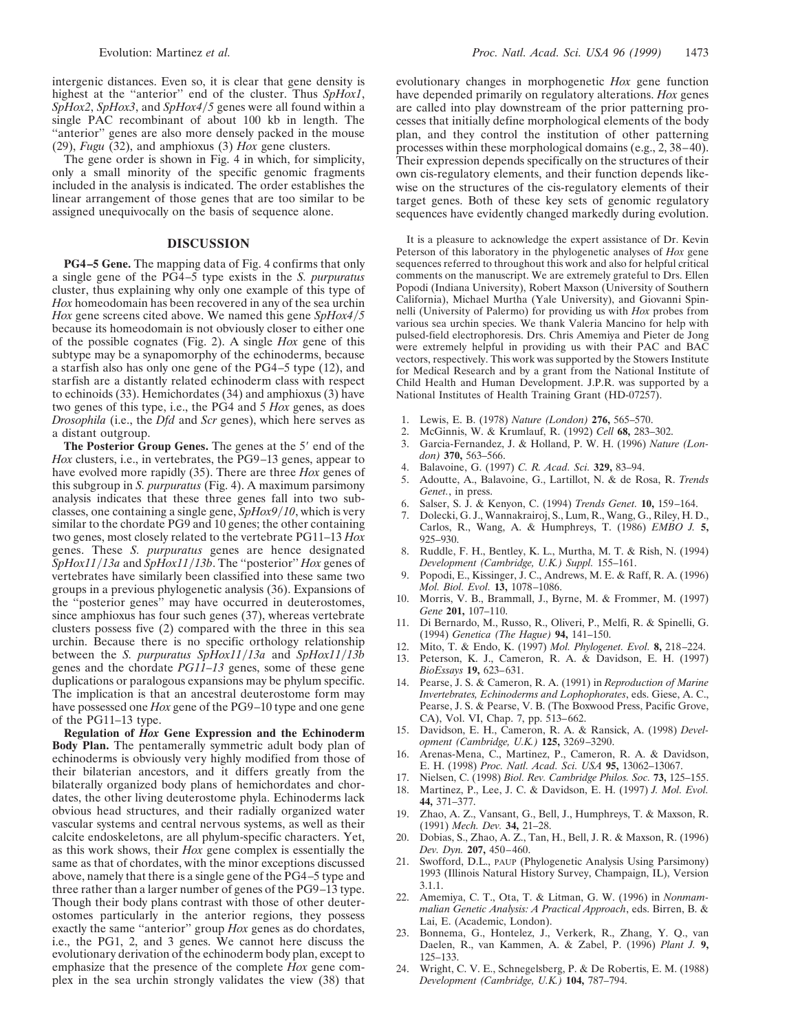intergenic distances. Even so, it is clear that gene density is highest at the ''anterior'' end of the cluster. Thus *SpHox1*, *SpHox2*, *SpHox3*, and *SpHox4/5* genes were all found within a single PAC recombinant of about 100 kb in length. The "anterior" genes are also more densely packed in the mouse (29), *Fugu* (32), and amphioxus (3) *Hox* gene clusters.

The gene order is shown in Fig. 4 in which, for simplicity, only a small minority of the specific genomic fragments included in the analysis is indicated. The order establishes the linear arrangement of those genes that are too similar to be assigned unequivocally on the basis of sequence alone.

## **DISCUSSION**

**PG4–5 Gene.** The mapping data of Fig. 4 confirms that only a single gene of the PG4–5 type exists in the *S. purpuratus* cluster, thus explaining why only one example of this type of *Hox* homeodomain has been recovered in any of the sea urchin *Hox* gene screens cited above. We named this gene *SpHox4/5* because its homeodomain is not obviously closer to either one of the possible cognates (Fig. 2). A single *Hox* gene of this subtype may be a synapomorphy of the echinoderms, because a starfish also has only one gene of the PG4–5 type (12), and starfish are a distantly related echinoderm class with respect to echinoids (33). Hemichordates (34) and amphioxus (3) have two genes of this type, i.e., the PG4 and 5 *Hox* genes, as does *Drosophila* (i.e., the *Dfd* and *Scr* genes), which here serves as a distant outgroup.

**The Posterior Group Genes.** The genes at the 5' end of the *Hox* clusters, i.e., in vertebrates, the PG9–13 genes, appear to have evolved more rapidly (35). There are three *Hox* genes of this subgroup in *S. purpuratus* (Fig. 4). A maximum parsimony analysis indicates that these three genes fall into two subclasses, one containing a single gene,  $SpHox9/10$ , which is very similar to the chordate PG9 and 10 genes; the other containing two genes, most closely related to the vertebrate PG11–13 *Hox* genes. These *S. purpuratus* genes are hence designated *SpHox11*y*13a* and *SpHox11*y*13b*. The ''posterior'' *Hox* genes of vertebrates have similarly been classified into these same two groups in a previous phylogenetic analysis (36). Expansions of the ''posterior genes'' may have occurred in deuterostomes, since amphioxus has four such genes (37), whereas vertebrate clusters possess five (2) compared with the three in this sea urchin. Because there is no specific orthology relationship between the *S. purpuratus SpHox11/13a* and *SpHox11/13b* genes and the chordate *PG11–13* genes, some of these gene duplications or paralogous expansions may be phylum specific. The implication is that an ancestral deuterostome form may have possessed one *Hox* gene of the PG9–10 type and one gene of the PG11–13 type.

**Regulation of** *Hox* **Gene Expression and the Echinoderm Body Plan.** The pentamerally symmetric adult body plan of echinoderms is obviously very highly modified from those of their bilaterian ancestors, and it differs greatly from the bilaterally organized body plans of hemichordates and chordates, the other living deuterostome phyla. Echinoderms lack obvious head structures, and their radially organized water vascular systems and central nervous systems, as well as their calcite endoskeletons, are all phylum-specific characters. Yet, as this work shows, their *Hox* gene complex is essentially the same as that of chordates, with the minor exceptions discussed above, namely that there is a single gene of the PG4–5 type and three rather than a larger number of genes of the PG9–13 type. Though their body plans contrast with those of other deuterostomes particularly in the anterior regions, they possess exactly the same ''anterior'' group *Hox* genes as do chordates, i.e., the PG1, 2, and 3 genes. We cannot here discuss the evolutionary derivation of the echinoderm body plan, except to emphasize that the presence of the complete *Hox* gene complex in the sea urchin strongly validates the view (38) that evolutionary changes in morphogenetic *Hox* gene function have depended primarily on regulatory alterations. *Hox* genes are called into play downstream of the prior patterning processes that initially define morphological elements of the body plan, and they control the institution of other patterning processes within these morphological domains (e.g., 2, 38–40). Their expression depends specifically on the structures of their own cis-regulatory elements, and their function depends likewise on the structures of the cis-regulatory elements of their target genes. Both of these key sets of genomic regulatory sequences have evidently changed markedly during evolution.

It is a pleasure to acknowledge the expert assistance of Dr. Kevin Peterson of this laboratory in the phylogenetic analyses of *Hox* gene sequences referred to throughout this work and also for helpful critical comments on the manuscript. We are extremely grateful to Drs. Ellen Popodi (Indiana University), Robert Maxson (University of Southern California), Michael Murtha (Yale University), and Giovanni Spinnelli (University of Palermo) for providing us with *Hox* probes from various sea urchin species. We thank Valeria Mancino for help with pulsed-field electrophoresis. Drs. Chris Amemiya and Pieter de Jong were extremely helpful in providing us with their PAC and BAC vectors, respectively. This work was supported by the Stowers Institute for Medical Research and by a grant from the National Institute of Child Health and Human Development. J.P.R. was supported by a National Institutes of Health Training Grant (HD-07257).

- 1. Lewis, E. B. (1978) *Nature (London)* **276,** 565–570.
- 2. McGinnis, W. & Krumlauf, R. (1992) *Cell* **68,** 283–302.
- 3. Garcia-Fernandez, J. & Holland, P. W. H. (1996) *Nature (London)* **370,** 563–566.
- 4. Balavoine, G. (1997) *C. R. Acad. Sci.* **329,** 83–94.
- 5. Adoutte, A., Balavoine, G., Lartillot, N. & de Rosa, R. *Trends Genet.*, in press.
- 6. Salser, S. J. & Kenyon, C. (1994) *Trends Genet.* **10,** 159–164.
- 7. Dolecki, G. J., Wannakrairoj, S., Lum, R., Wang, G., Riley, H. D., Carlos, R., Wang, A. & Humphreys, T. (1986) *EMBO J.* **5,** 925–930.
- 8. Ruddle, F. H., Bentley, K. L., Murtha, M. T. & Rish, N. (1994) *Development (Cambridge, U.K.) Suppl.* 155–161.
- 9. Popodi, E., Kissinger, J. C., Andrews, M. E. & Raff, R. A. (1996) *Mol. Biol. Evol.* **13,** 1078–1086.
- 10. Morris, V. B., Brammall, J., Byrne, M. & Frommer, M. (1997) *Gene* **201,** 107–110.
- 11. Di Bernardo, M., Russo, R., Oliveri, P., Melfi, R. & Spinelli, G. (1994) *Genetica (The Hague)* **94,** 141–150.
- 12. Mito, T. & Endo, K. (1997) *Mol. Phylogenet. Evol.* **8,** 218–224.
- 13. Peterson, K. J., Cameron, R. A. & Davidson, E. H. (1997) *BioEssays* **19,** 623–631.
- 14. Pearse, J. S. & Cameron, R. A. (1991) in *Reproduction of Marine Invertebrates, Echinoderms and Lophophorates*, eds. Giese, A. C., Pearse, J. S. & Pearse, V. B. (The Boxwood Press, Pacific Grove, CA), Vol. VI, Chap. 7, pp. 513–662.
- 15. Davidson, E. H., Cameron, R. A. & Ransick, A. (1998) *Development (Cambridge, U.K.)* **125,** 3269–3290.
- 16. Arenas-Mena, C., Martinez, P., Cameron, R. A. & Davidson, E. H. (1998) *Proc. Natl. Acad. Sci. USA* **95,** 13062–13067.
- 17. Nielsen, C. (1998) *Biol. Rev. Cambridge Philos. Soc.* **73,** 125–155.
- 18. Martinez, P., Lee, J. C. & Davidson, E. H. (1997) *J. Mol. Evol.* **44,** 371–377.
- 19. Zhao, A. Z., Vansant, G., Bell, J., Humphreys, T. & Maxson, R. (1991) *Mech. Dev.* **34,** 21–28.
- 20. Dobias, S., Zhao, A. Z., Tan, H., Bell, J. R. & Maxson, R. (1996) *Dev. Dyn.* **207,** 450–460.
- 21. Swofford, D.L., PAUP (Phylogenetic Analysis Using Parsimony) 1993 (Illinois Natural History Survey, Champaign, IL), Version 3.1.1.
- 22. Amemiya, C. T., Ota, T. & Litman, G. W. (1996) in *Nonmammalian Genetic Analysis: A Practical Approach*, eds. Birren, B. & Lai, E. (Academic, London).
- 23. Bonnema, G., Hontelez, J., Verkerk, R., Zhang, Y. Q., van Daelen, R., van Kammen, A. & Zabel, P. (1996) *Plant J.* **9,** 125–133.
- 24. Wright, C. V. E., Schnegelsberg, P. & De Robertis, E. M. (1988) *Development (Cambridge, U.K.)* **104,** 787–794.